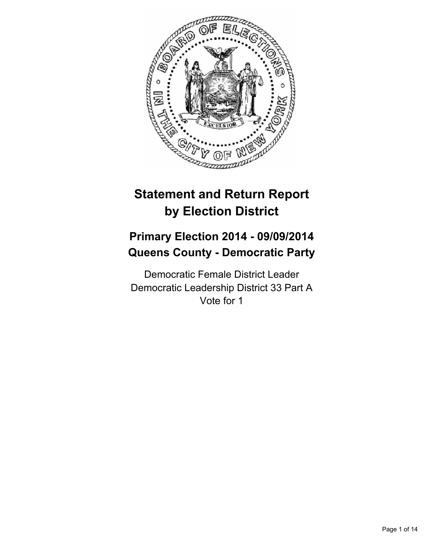

# **Statement and Return Report by Election District**

## **Primary Election 2014 - 09/09/2014 Queens County - Democratic Party**

Democratic Female District Leader Democratic Leadership District 33 Part A Vote for 1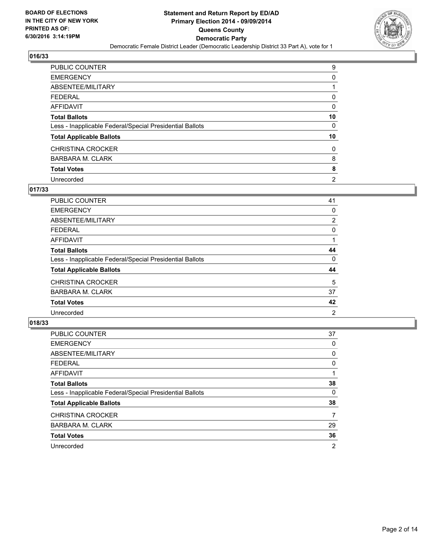

| <b>PUBLIC COUNTER</b>                                    | 9              |
|----------------------------------------------------------|----------------|
| <b>EMERGENCY</b>                                         | 0              |
| ABSENTEE/MILITARY                                        |                |
| <b>FEDERAL</b>                                           | 0              |
| <b>AFFIDAVIT</b>                                         | 0              |
| <b>Total Ballots</b>                                     | 10             |
| Less - Inapplicable Federal/Special Presidential Ballots | 0              |
| <b>Total Applicable Ballots</b>                          | 10             |
| <b>CHRISTINA CROCKER</b>                                 | 0              |
| <b>BARBARA M. CLARK</b>                                  | 8              |
| <b>Total Votes</b>                                       | 8              |
| Unrecorded                                               | $\overline{2}$ |

#### **017/33**

| PUBLIC COUNTER                                           | 41 |
|----------------------------------------------------------|----|
| <b>EMERGENCY</b>                                         | 0  |
| ABSENTEE/MILITARY                                        | 2  |
| <b>FEDERAL</b>                                           | 0  |
| <b>AFFIDAVIT</b>                                         |    |
| <b>Total Ballots</b>                                     | 44 |
| Less - Inapplicable Federal/Special Presidential Ballots | 0  |
| <b>Total Applicable Ballots</b>                          | 44 |
| <b>CHRISTINA CROCKER</b>                                 | 5  |
| <b>BARBARA M. CLARK</b>                                  | 37 |
| <b>Total Votes</b>                                       | 42 |
| Unrecorded                                               | 2  |
|                                                          |    |

| PUBLIC COUNTER                                           | 37 |
|----------------------------------------------------------|----|
| <b>EMERGENCY</b>                                         | 0  |
| ABSENTEE/MILITARY                                        | 0  |
| <b>FEDERAL</b>                                           | 0  |
| AFFIDAVIT                                                |    |
| <b>Total Ballots</b>                                     | 38 |
| Less - Inapplicable Federal/Special Presidential Ballots | 0  |
| <b>Total Applicable Ballots</b>                          | 38 |
| <b>CHRISTINA CROCKER</b>                                 | 7  |
| <b>BARBARA M. CLARK</b>                                  | 29 |
| <b>Total Votes</b>                                       | 36 |
| Unrecorded                                               | 2  |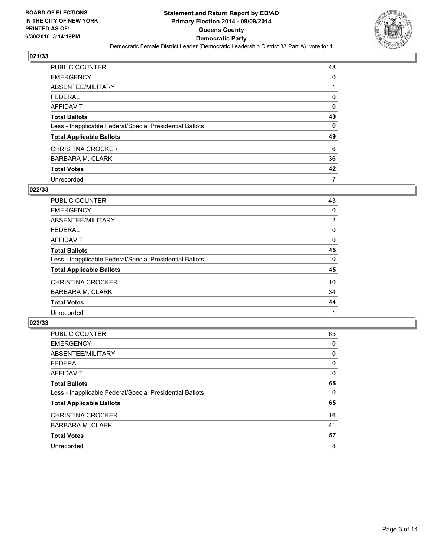

| PUBLIC COUNTER                                           | 48 |
|----------------------------------------------------------|----|
| <b>EMERGENCY</b>                                         | 0  |
| ABSENTEE/MILITARY                                        |    |
| <b>FEDERAL</b>                                           | 0  |
| AFFIDAVIT                                                | 0  |
| <b>Total Ballots</b>                                     | 49 |
| Less - Inapplicable Federal/Special Presidential Ballots | 0  |
| <b>Total Applicable Ballots</b>                          | 49 |
| <b>CHRISTINA CROCKER</b>                                 | 6  |
| <b>BARBARA M. CLARK</b>                                  | 36 |
| <b>Total Votes</b>                                       | 42 |
| Unrecorded                                               | 7  |

#### **022/33**

| PUBLIC COUNTER                                           | 43 |
|----------------------------------------------------------|----|
| <b>EMERGENCY</b>                                         | 0  |
| ABSENTEE/MILITARY                                        | 2  |
| <b>FEDERAL</b>                                           | 0  |
| <b>AFFIDAVIT</b>                                         | 0  |
| <b>Total Ballots</b>                                     | 45 |
| Less - Inapplicable Federal/Special Presidential Ballots | 0  |
| <b>Total Applicable Ballots</b>                          | 45 |
| <b>CHRISTINA CROCKER</b>                                 | 10 |
| <b>BARBARA M. CLARK</b>                                  | 34 |
| <b>Total Votes</b>                                       | 44 |
| Unrecorded                                               |    |
|                                                          |    |

| PUBLIC COUNTER                                           | 65 |
|----------------------------------------------------------|----|
| <b>EMERGENCY</b>                                         | 0  |
| ABSENTEE/MILITARY                                        | 0  |
| <b>FEDERAL</b>                                           | 0  |
| AFFIDAVIT                                                | 0  |
| <b>Total Ballots</b>                                     | 65 |
| Less - Inapplicable Federal/Special Presidential Ballots | 0  |
| <b>Total Applicable Ballots</b>                          | 65 |
| <b>CHRISTINA CROCKER</b>                                 | 16 |
| <b>BARBARA M. CLARK</b>                                  | 41 |
| <b>Total Votes</b>                                       | 57 |
| Unrecorded                                               | 8  |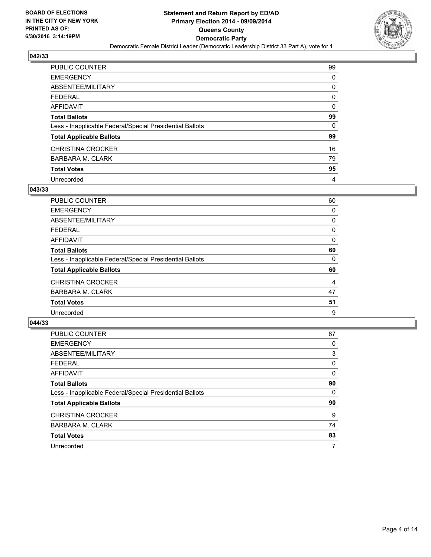

| PUBLIC COUNTER                                           | 99 |
|----------------------------------------------------------|----|
| <b>EMERGENCY</b>                                         | 0  |
| ABSENTEE/MILITARY                                        | 0  |
| <b>FEDERAL</b>                                           | 0  |
| <b>AFFIDAVIT</b>                                         | 0  |
| <b>Total Ballots</b>                                     | 99 |
| Less - Inapplicable Federal/Special Presidential Ballots | 0  |
| <b>Total Applicable Ballots</b>                          | 99 |
| <b>CHRISTINA CROCKER</b>                                 | 16 |
| <b>BARBARA M. CLARK</b>                                  | 79 |
| <b>Total Votes</b>                                       | 95 |
| Unrecorded                                               | 4  |

#### **043/33**

| PUBLIC COUNTER                                           | 60 |
|----------------------------------------------------------|----|
| <b>EMERGENCY</b>                                         | 0  |
| ABSENTEE/MILITARY                                        | 0  |
| <b>FEDERAL</b>                                           | 0  |
| <b>AFFIDAVIT</b>                                         | 0  |
| <b>Total Ballots</b>                                     | 60 |
| Less - Inapplicable Federal/Special Presidential Ballots | 0  |
| <b>Total Applicable Ballots</b>                          | 60 |
| <b>CHRISTINA CROCKER</b>                                 | 4  |
| <b>BARBARA M. CLARK</b>                                  | 47 |
| <b>Total Votes</b>                                       | 51 |
| Unrecorded                                               | 9  |
|                                                          |    |

| PUBLIC COUNTER                                           | 87 |
|----------------------------------------------------------|----|
| <b>EMERGENCY</b>                                         | 0  |
| ABSENTEE/MILITARY                                        | 3  |
| <b>FEDERAL</b>                                           | 0  |
| AFFIDAVIT                                                | 0  |
| <b>Total Ballots</b>                                     | 90 |
| Less - Inapplicable Federal/Special Presidential Ballots | 0  |
| <b>Total Applicable Ballots</b>                          | 90 |
| <b>CHRISTINA CROCKER</b>                                 | 9  |
| <b>BARBARA M. CLARK</b>                                  | 74 |
| <b>Total Votes</b>                                       | 83 |
| Unrecorded                                               | 7  |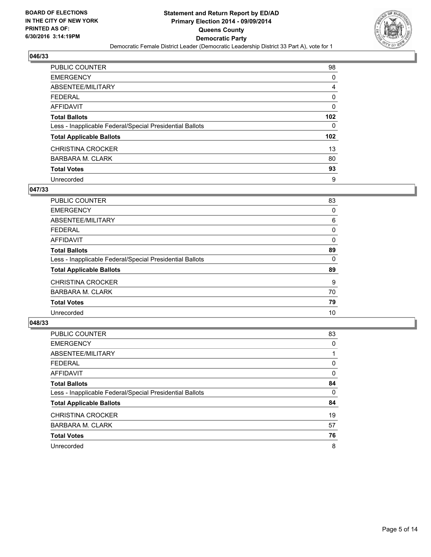

| PUBLIC COUNTER                                           | 98               |
|----------------------------------------------------------|------------------|
| <b>EMERGENCY</b>                                         | 0                |
| ABSENTEE/MILITARY                                        | 4                |
| <b>FEDERAL</b>                                           | 0                |
| AFFIDAVIT                                                | 0                |
| <b>Total Ballots</b>                                     | 102 <sub>2</sub> |
| Less - Inapplicable Federal/Special Presidential Ballots | 0                |
| <b>Total Applicable Ballots</b>                          | 102 <sub>2</sub> |
| <b>CHRISTINA CROCKER</b>                                 | 13               |
| BARBARA M. CLARK                                         | 80               |
| <b>Total Votes</b>                                       | 93               |
| Unrecorded                                               | 9                |

#### **047/33**

| <b>PUBLIC COUNTER</b>                                    | 83 |
|----------------------------------------------------------|----|
| <b>EMERGENCY</b>                                         | 0  |
| ABSENTEE/MILITARY                                        | 6  |
| <b>FEDERAL</b>                                           | 0  |
| <b>AFFIDAVIT</b>                                         | 0  |
| <b>Total Ballots</b>                                     | 89 |
| Less - Inapplicable Federal/Special Presidential Ballots | 0  |
| <b>Total Applicable Ballots</b>                          | 89 |
| <b>CHRISTINA CROCKER</b>                                 | 9  |
| <b>BARBARA M. CLARK</b>                                  | 70 |
| <b>Total Votes</b>                                       | 79 |
| Unrecorded                                               | 10 |
|                                                          |    |

| PUBLIC COUNTER                                           | 83 |
|----------------------------------------------------------|----|
| <b>EMERGENCY</b>                                         | 0  |
| ABSENTEE/MILITARY                                        |    |
| <b>FEDERAL</b>                                           | 0  |
| AFFIDAVIT                                                | 0  |
| <b>Total Ballots</b>                                     | 84 |
| Less - Inapplicable Federal/Special Presidential Ballots | 0  |
| <b>Total Applicable Ballots</b>                          | 84 |
| <b>CHRISTINA CROCKER</b>                                 | 19 |
| <b>BARBARA M. CLARK</b>                                  | 57 |
| <b>Total Votes</b>                                       | 76 |
| Unrecorded                                               | 8  |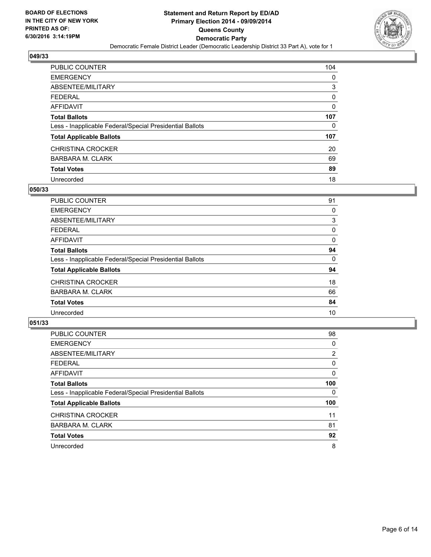

| PUBLIC COUNTER                                           | 104 |
|----------------------------------------------------------|-----|
| <b>EMERGENCY</b>                                         | 0   |
| ABSENTEE/MILITARY                                        | 3   |
| <b>FEDERAL</b>                                           | 0   |
| <b>AFFIDAVIT</b>                                         | 0   |
| <b>Total Ballots</b>                                     | 107 |
| Less - Inapplicable Federal/Special Presidential Ballots | 0   |
| <b>Total Applicable Ballots</b>                          | 107 |
| <b>CHRISTINA CROCKER</b>                                 | 20  |
| <b>BARBARA M. CLARK</b>                                  | 69  |
| <b>Total Votes</b>                                       | 89  |
| Unrecorded                                               | 18  |

#### **050/33**

| PUBLIC COUNTER                                           | 91 |
|----------------------------------------------------------|----|
| <b>EMERGENCY</b>                                         | 0  |
| ABSENTEE/MILITARY                                        | 3  |
| <b>FEDERAL</b>                                           | 0  |
| <b>AFFIDAVIT</b>                                         | 0  |
| <b>Total Ballots</b>                                     | 94 |
| Less - Inapplicable Federal/Special Presidential Ballots | 0  |
| <b>Total Applicable Ballots</b>                          | 94 |
| <b>CHRISTINA CROCKER</b>                                 | 18 |
| <b>BARBARA M. CLARK</b>                                  | 66 |
| <b>Total Votes</b>                                       | 84 |
| Unrecorded                                               | 10 |
|                                                          |    |

| PUBLIC COUNTER                                           | 98             |
|----------------------------------------------------------|----------------|
| <b>EMERGENCY</b>                                         | 0              |
| ABSENTEE/MILITARY                                        | $\overline{2}$ |
| <b>FEDERAL</b>                                           | 0              |
| AFFIDAVIT                                                | 0              |
| <b>Total Ballots</b>                                     | 100            |
| Less - Inapplicable Federal/Special Presidential Ballots | 0              |
| <b>Total Applicable Ballots</b>                          | 100            |
| <b>CHRISTINA CROCKER</b>                                 | 11             |
| <b>BARBARA M. CLARK</b>                                  | 81             |
| <b>Total Votes</b>                                       | 92             |
| Unrecorded                                               | 8              |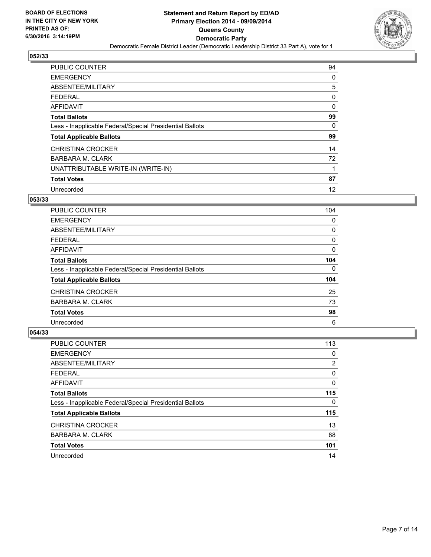

| <b>PUBLIC COUNTER</b>                                    | 94 |
|----------------------------------------------------------|----|
| <b>EMERGENCY</b>                                         | 0  |
| ABSENTEE/MILITARY                                        | 5  |
| <b>FEDERAL</b>                                           | 0  |
| <b>AFFIDAVIT</b>                                         | 0  |
| <b>Total Ballots</b>                                     | 99 |
| Less - Inapplicable Federal/Special Presidential Ballots | 0  |
| <b>Total Applicable Ballots</b>                          | 99 |
| <b>CHRISTINA CROCKER</b>                                 | 14 |
| <b>BARBARA M. CLARK</b>                                  | 72 |
| UNATTRIBUTABLE WRITE-IN (WRITE-IN)                       |    |
| <b>Total Votes</b>                                       | 87 |
| Unrecorded                                               | 12 |

#### **053/33**

| <b>PUBLIC COUNTER</b>                                    | 104 |
|----------------------------------------------------------|-----|
| <b>EMERGENCY</b>                                         | 0   |
| ABSENTEE/MILITARY                                        | 0   |
| FEDERAL                                                  | 0   |
| AFFIDAVIT                                                | 0   |
| <b>Total Ballots</b>                                     | 104 |
| Less - Inapplicable Federal/Special Presidential Ballots | 0   |
| <b>Total Applicable Ballots</b>                          | 104 |
| <b>CHRISTINA CROCKER</b>                                 | 25  |
| <b>BARBARA M. CLARK</b>                                  | 73  |
| <b>Total Votes</b>                                       | 98  |
| Unrecorded                                               | 6   |

| PUBLIC COUNTER                                           | 113 |
|----------------------------------------------------------|-----|
| <b>EMERGENCY</b>                                         | 0   |
| ABSENTEE/MILITARY                                        | 2   |
| <b>FEDERAL</b>                                           | 0   |
| AFFIDAVIT                                                | 0   |
| <b>Total Ballots</b>                                     | 115 |
| Less - Inapplicable Federal/Special Presidential Ballots | 0   |
| <b>Total Applicable Ballots</b>                          | 115 |
| <b>CHRISTINA CROCKER</b>                                 | 13  |
| BARBARA M. CLARK                                         | 88  |
| <b>Total Votes</b>                                       | 101 |
| Unrecorded                                               | 14  |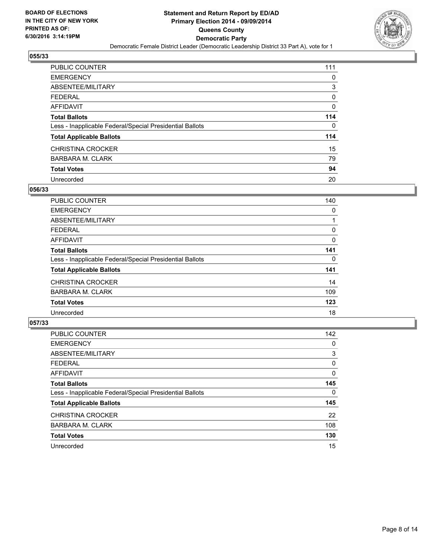

| PUBLIC COUNTER                                           | 111 |
|----------------------------------------------------------|-----|
| <b>EMERGENCY</b>                                         | 0   |
| ABSENTEE/MILITARY                                        | 3   |
| <b>FEDERAL</b>                                           | 0   |
| <b>AFFIDAVIT</b>                                         | 0   |
| <b>Total Ballots</b>                                     | 114 |
| Less - Inapplicable Federal/Special Presidential Ballots | 0   |
| <b>Total Applicable Ballots</b>                          | 114 |
| <b>CHRISTINA CROCKER</b>                                 | 15  |
| <b>BARBARA M. CLARK</b>                                  | 79  |
| <b>Total Votes</b>                                       | 94  |
| Unrecorded                                               | 20  |

#### **056/33**

| PUBLIC COUNTER                                           | 142 |
|----------------------------------------------------------|-----|
| <b>EMERGENCY</b>                                         | 0   |
| ABSENTEE/MILITARY                                        | 3   |
| <b>FEDERAL</b>                                           | 0   |
| AFFIDAVIT                                                | 0   |
| <b>Total Ballots</b>                                     | 145 |
| Less - Inapplicable Federal/Special Presidential Ballots | 0   |
| <b>Total Applicable Ballots</b>                          | 145 |
| <b>CHRISTINA CROCKER</b>                                 | 22  |
| <b>BARBARA M. CLARK</b>                                  | 108 |
| <b>Total Votes</b>                                       | 130 |
| Unrecorded                                               | 15  |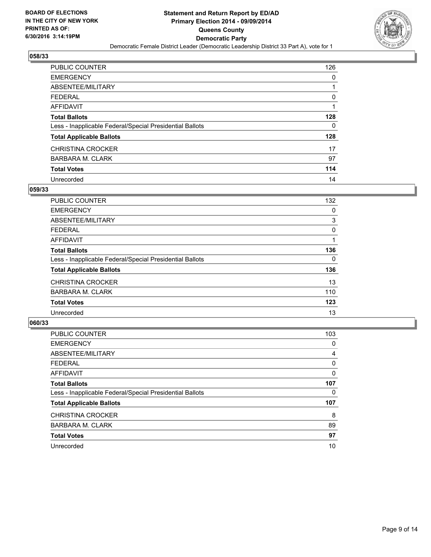

| PUBLIC COUNTER                                           | 126 |
|----------------------------------------------------------|-----|
| <b>EMERGENCY</b>                                         | 0   |
| ABSENTEE/MILITARY                                        |     |
| <b>FEDERAL</b>                                           | 0   |
| <b>AFFIDAVIT</b>                                         |     |
| <b>Total Ballots</b>                                     | 128 |
| Less - Inapplicable Federal/Special Presidential Ballots | 0   |
| <b>Total Applicable Ballots</b>                          | 128 |
| <b>CHRISTINA CROCKER</b>                                 | 17  |
| <b>BARBARA M. CLARK</b>                                  | 97  |
| <b>Total Votes</b>                                       | 114 |
| Unrecorded                                               | 14  |

#### **059/33**

| PUBLIC COUNTER                                           | 132 |
|----------------------------------------------------------|-----|
| <b>EMERGENCY</b>                                         | 0   |
| ABSENTEE/MILITARY                                        | 3   |
| FEDERAL                                                  | 0   |
| AFFIDAVIT                                                |     |
| <b>Total Ballots</b>                                     | 136 |
| Less - Inapplicable Federal/Special Presidential Ballots | 0   |
| <b>Total Applicable Ballots</b>                          | 136 |
| <b>CHRISTINA CROCKER</b>                                 | 13  |
| <b>BARBARA M. CLARK</b>                                  | 110 |
| <b>Total Votes</b>                                       | 123 |
| Unrecorded                                               | 13  |
|                                                          |     |

| PUBLIC COUNTER                                           | 103 |
|----------------------------------------------------------|-----|
| <b>EMERGENCY</b>                                         | 0   |
| ABSENTEE/MILITARY                                        | 4   |
| <b>FEDERAL</b>                                           | 0   |
| AFFIDAVIT                                                | 0   |
| <b>Total Ballots</b>                                     | 107 |
| Less - Inapplicable Federal/Special Presidential Ballots | 0   |
| <b>Total Applicable Ballots</b>                          | 107 |
| <b>CHRISTINA CROCKER</b>                                 | 8   |
| <b>BARBARA M. CLARK</b>                                  | 89  |
| <b>Total Votes</b>                                       | 97  |
| Unrecorded                                               | 10  |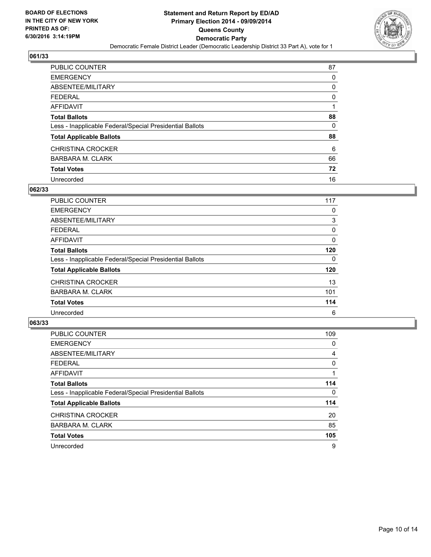

| <b>PUBLIC COUNTER</b>                                    | 87 |
|----------------------------------------------------------|----|
| <b>EMERGENCY</b>                                         | 0  |
| ABSENTEE/MILITARY                                        | 0  |
| <b>FEDERAL</b>                                           | 0  |
| <b>AFFIDAVIT</b>                                         | 1  |
| <b>Total Ballots</b>                                     | 88 |
| Less - Inapplicable Federal/Special Presidential Ballots | 0  |
| <b>Total Applicable Ballots</b>                          | 88 |
| <b>CHRISTINA CROCKER</b>                                 | 6  |
| <b>BARBARA M. CLARK</b>                                  | 66 |
| <b>Total Votes</b>                                       | 72 |
| Unrecorded                                               | 16 |

#### **062/33**

| <b>PUBLIC COUNTER</b>                                    | 117 |
|----------------------------------------------------------|-----|
| <b>EMERGENCY</b>                                         | 0   |
| ABSENTEE/MILITARY                                        | 3   |
| FEDERAL                                                  | 0   |
| AFFIDAVIT                                                | 0   |
| <b>Total Ballots</b>                                     | 120 |
| Less - Inapplicable Federal/Special Presidential Ballots | 0   |
| <b>Total Applicable Ballots</b>                          | 120 |
| <b>CHRISTINA CROCKER</b>                                 | 13  |
| <b>BARBARA M. CLARK</b>                                  | 101 |
| <b>Total Votes</b>                                       | 114 |
| Unrecorded                                               | 6   |

| PUBLIC COUNTER                                           | 109 |
|----------------------------------------------------------|-----|
| <b>EMERGENCY</b>                                         | 0   |
| ABSENTEE/MILITARY                                        | 4   |
| <b>FEDERAL</b>                                           | 0   |
| AFFIDAVIT                                                |     |
| <b>Total Ballots</b>                                     | 114 |
| Less - Inapplicable Federal/Special Presidential Ballots | 0   |
| <b>Total Applicable Ballots</b>                          | 114 |
| <b>CHRISTINA CROCKER</b>                                 | 20  |
| <b>BARBARA M. CLARK</b>                                  | 85  |
| <b>Total Votes</b>                                       | 105 |
| Unrecorded                                               | 9   |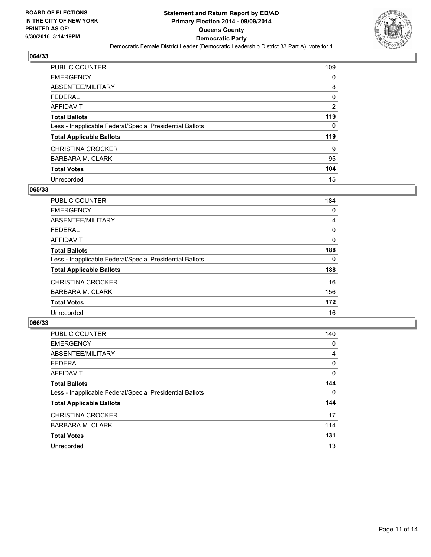

| PUBLIC COUNTER                                           | 109            |
|----------------------------------------------------------|----------------|
| <b>EMERGENCY</b>                                         | 0              |
| ABSENTEE/MILITARY                                        | 8              |
| <b>FEDERAL</b>                                           | 0              |
| <b>AFFIDAVIT</b>                                         | $\overline{2}$ |
| <b>Total Ballots</b>                                     | 119            |
| Less - Inapplicable Federal/Special Presidential Ballots | 0              |
| <b>Total Applicable Ballots</b>                          | 119            |
| <b>CHRISTINA CROCKER</b>                                 | 9              |
| <b>BARBARA M. CLARK</b>                                  | 95             |
| <b>Total Votes</b>                                       | 104            |
| Unrecorded                                               | 15             |

#### **065/33**

| <b>PUBLIC COUNTER</b>                                    | 184 |
|----------------------------------------------------------|-----|
| <b>EMERGENCY</b>                                         | 0   |
| ABSENTEE/MILITARY                                        | 4   |
| FEDERAL                                                  | 0   |
| AFFIDAVIT                                                | 0   |
| <b>Total Ballots</b>                                     | 188 |
| Less - Inapplicable Federal/Special Presidential Ballots | 0   |
| <b>Total Applicable Ballots</b>                          | 188 |
| <b>CHRISTINA CROCKER</b>                                 | 16  |
| BARBARA M. CLARK                                         | 156 |
| <b>Total Votes</b>                                       | 172 |
| Unrecorded                                               | 16  |
|                                                          |     |

| PUBLIC COUNTER                                           | 140 |
|----------------------------------------------------------|-----|
| <b>EMERGENCY</b>                                         | 0   |
| ABSENTEE/MILITARY                                        | 4   |
| <b>FEDERAL</b>                                           | 0   |
| AFFIDAVIT                                                | 0   |
| <b>Total Ballots</b>                                     | 144 |
| Less - Inapplicable Federal/Special Presidential Ballots | 0   |
| <b>Total Applicable Ballots</b>                          | 144 |
| <b>CHRISTINA CROCKER</b>                                 | 17  |
| <b>BARBARA M. CLARK</b>                                  | 114 |
| <b>Total Votes</b>                                       | 131 |
| Unrecorded                                               | 13  |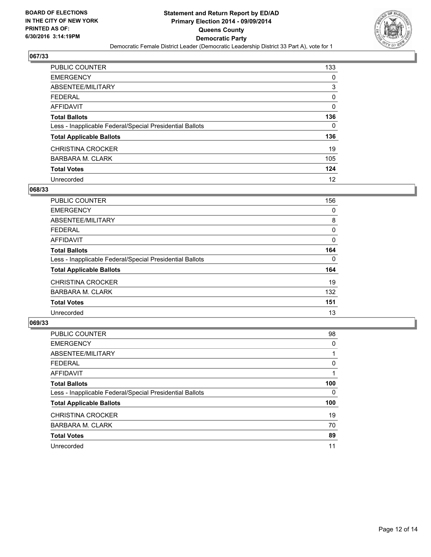

| PUBLIC COUNTER                                           | 133 |
|----------------------------------------------------------|-----|
| <b>EMERGENCY</b>                                         | 0   |
| ABSENTEE/MILITARY                                        | 3   |
| <b>FEDERAL</b>                                           | 0   |
| <b>AFFIDAVIT</b>                                         | 0   |
| <b>Total Ballots</b>                                     | 136 |
| Less - Inapplicable Federal/Special Presidential Ballots | 0   |
| <b>Total Applicable Ballots</b>                          | 136 |
| <b>CHRISTINA CROCKER</b>                                 | 19  |
| <b>BARBARA M. CLARK</b>                                  | 105 |
| <b>Total Votes</b>                                       | 124 |
| Unrecorded                                               | 12  |

#### **068/33**

| <b>PUBLIC COUNTER</b>                                    | 156 |
|----------------------------------------------------------|-----|
| <b>EMERGENCY</b>                                         | 0   |
| ABSENTEE/MILITARY                                        | 8   |
| <b>FEDERAL</b>                                           | 0   |
| AFFIDAVIT                                                | 0   |
| <b>Total Ballots</b>                                     | 164 |
| Less - Inapplicable Federal/Special Presidential Ballots | 0   |
| <b>Total Applicable Ballots</b>                          | 164 |
| <b>CHRISTINA CROCKER</b>                                 | 19  |
| <b>BARBARA M. CLARK</b>                                  | 132 |
| <b>Total Votes</b>                                       | 151 |
| Unrecorded                                               | 13  |

| PUBLIC COUNTER                                           | 98  |
|----------------------------------------------------------|-----|
| <b>EMERGENCY</b>                                         | 0   |
| ABSENTEE/MILITARY                                        |     |
| <b>FEDERAL</b>                                           | 0   |
| AFFIDAVIT                                                |     |
| <b>Total Ballots</b>                                     | 100 |
| Less - Inapplicable Federal/Special Presidential Ballots | 0   |
| <b>Total Applicable Ballots</b>                          | 100 |
| <b>CHRISTINA CROCKER</b>                                 | 19  |
| <b>BARBARA M. CLARK</b>                                  | 70  |
| <b>Total Votes</b>                                       | 89  |
| Unrecorded                                               | 11  |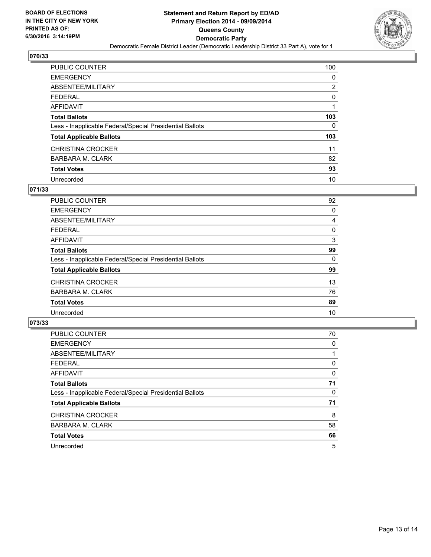

| PUBLIC COUNTER                                           | 100            |
|----------------------------------------------------------|----------------|
| <b>EMERGENCY</b>                                         | 0              |
| ABSENTEE/MILITARY                                        | $\overline{2}$ |
| <b>FEDERAL</b>                                           | 0              |
| <b>AFFIDAVIT</b>                                         |                |
| <b>Total Ballots</b>                                     | 103            |
| Less - Inapplicable Federal/Special Presidential Ballots | 0              |
| <b>Total Applicable Ballots</b>                          | 103            |
| <b>CHRISTINA CROCKER</b>                                 | 11             |
| <b>BARBARA M. CLARK</b>                                  | 82             |
| <b>Total Votes</b>                                       | 93             |
| Unrecorded                                               | 10             |

#### **071/33**

| PUBLIC COUNTER                                           | 92 |
|----------------------------------------------------------|----|
| <b>EMERGENCY</b>                                         | 0  |
| ABSENTEE/MILITARY                                        | 4  |
| <b>FEDERAL</b>                                           | 0  |
| <b>AFFIDAVIT</b>                                         | 3  |
| <b>Total Ballots</b>                                     | 99 |
| Less - Inapplicable Federal/Special Presidential Ballots | 0  |
| <b>Total Applicable Ballots</b>                          | 99 |
| <b>CHRISTINA CROCKER</b>                                 | 13 |
| <b>BARBARA M. CLARK</b>                                  | 76 |
| <b>Total Votes</b>                                       | 89 |
| Unrecorded                                               | 10 |
|                                                          |    |

| PUBLIC COUNTER                                           | 70 |
|----------------------------------------------------------|----|
| <b>EMERGENCY</b>                                         | 0  |
| ABSENTEE/MILITARY                                        |    |
| <b>FEDERAL</b>                                           | 0  |
| AFFIDAVIT                                                | 0  |
| <b>Total Ballots</b>                                     | 71 |
| Less - Inapplicable Federal/Special Presidential Ballots | 0  |
| <b>Total Applicable Ballots</b>                          | 71 |
| <b>CHRISTINA CROCKER</b>                                 | 8  |
| <b>BARBARA M. CLARK</b>                                  | 58 |
| <b>Total Votes</b>                                       | 66 |
| Unrecorded                                               | 5  |